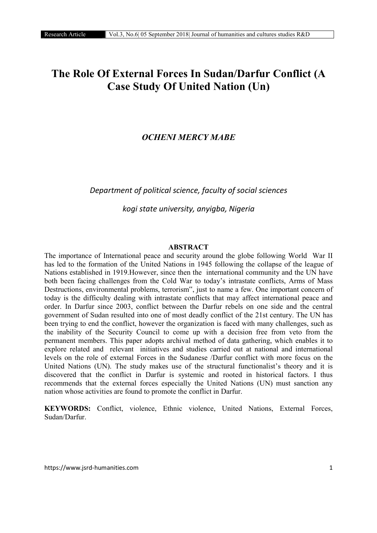# The Role Of External Forces In Sudan/Darfur Conflict (A Case Study Of United Nation (Un)

# *OCHENI MERCY MABE*

*Department of political science, faculty of social sciences*

*kogi state university, anyigba, Nigeria*

#### **ABSTRACT**

The importance of International peace and security around the globe following World War II has led to the formation of the United Nations in 1945 following the collapse of the league of Nations established in 1919.However, since then the international community and the UN have both been facing challenges from the Cold War to today's intrastate conflicts, Arms of Mass Destructions, environmental problems, terrorism", just to name a few. One important concern of today is the difficulty dealing with intrastate conflicts that may affect international peace and order. In Darfur since 2003, conflict between the Darfur rebels on one side and the central government of Sudan resulted into one of most deadly conflict of the 21st century. The UN has been trying to end the conflict, however the organization is faced with many challenges, such as the inability of the Security Council to come up with a decision free from veto from the permanent members. This paper adopts archival method of data gathering, which enables it to explore related and relevant initiatives and studies carried out at national and international levels on the role of external Forces in the Sudanese /Darfur conflict with more focus on the United Nations (UN). The study makes use of the structural functionalist's theory and it is discovered that the conflict in Darfur is systemic and rooted in historical factors. I thus recommends that the external forces especially the United Nations (UN) must sanction any nation whose activities are found to promote the conflict in Darfur.

KEYWORDS: Conflict, violence, Ethnic violence, United Nations, External Forces, Sudan/Darfur.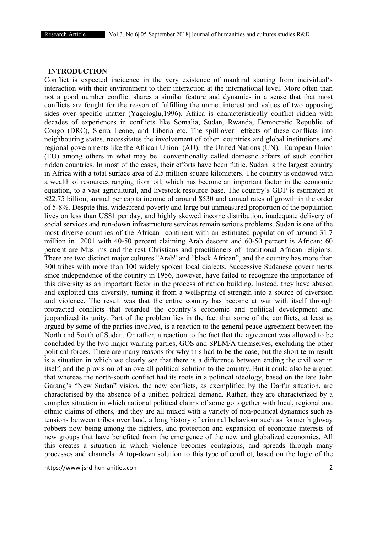#### INTRODUCTION

Conflict is expected incidence in the very existence of mankind starting from individual's interaction with their environment to their interaction at the international level. More often than not a good number conflict shares a similar feature and dynamics in a sense that that most conflicts are fought for the reason of fulfilling the unmet interest and values of two opposing sides over specific matter (Yagcioglu,1996). Africa is characteristically conflict ridden with decades of experiences in conflicts like Somalia, Sudan, Rwanda, Democratic Republic of Congo (DRC), Sierra Leone, and Liberia etc. The spill-over effects of these conflicts into neighbouring states, necessitates the involvement of other countries and global institutions and regional governments like the African Union (AU), the United Nations (UN), European Union (EU) among others in what may be conventionally called domestic affairs of such conflict ridden countries. In most of the cases, their efforts have been futile. Sudan is the largest country in Africa with a total surface area of 2.5 million square kilometers. The country is endowed with a wealth of resources ranging from oil, which has become an important factor in the economic equation, to a vast agricultural, and livestock resource base. The country's GDP is estimated at \$22.75 billion, annual per capita income of around \$530 and annual rates of growth in the order of 5-8%. Despite this, widespread poverty and large but unmeasured proportion of the population lives on less than US\$1 per day, and highly skewed income distribution, inadequate delivery of social services and run-down infrastructure services remain serious problems. Sudan is one of the most diverse countries of the African continent with an estimated population of around 31.7 million in 2001 with 40-50 percent claiming Arab descent and 60-50 percent is African; 60 percent are Muslims and the rest Christians and practitioners of traditional African religions. There are two distinct major cultures "Arab" and "black African", and the country has more than 300 tribes with more than 100 widely spoken local dialects. Successive Sudanese governments since independence of the country in 1956, however, have failed to recognize the importance of this diversity as an important factor in the process of nation building. Instead, they have abused and exploited this diversity, turning it from a wellspring of strength into a source of diversion and violence. The result was that the entire country has become at war with itself through protracted conflicts that retarded the country's economic and political development and jeopardized its unity. Part of the problem lies in the fact that some of the conflicts, at least as argued by some of the parties involved, is a reaction to the general peace agreement between the North and South of Sudan. Or rather, a reaction to the fact that the agreement was allowed to be concluded by the two major warring parties, GOS and SPLM/A themselves, excluding the other political forces. There are many reasons for why this had to be the case, but the short term result is a situation in which we clearly see that there is a difference between ending the civil war in itself, and the provision of an overall political solution to the country. But it could also be argued that whereas the north-south conflict had its roots in a political ideology, based on the late John Garang's "New Sudan" vision, the new conflicts, as exemplified by the Darfur situation, are characterised by the absence of a unified political demand. Rather, they are characterized by a complex situation in which national political claims of some go together with local, regional and ethnic claims of others, and they are all mixed with a variety of non-political dynamics such as tensions between tribes over land, a long history of criminal behaviour such as former highway robbers now being among the fighters, and protection and expansion of economic interests of new groups that have benefited from the emergence of the new and globalized economies. All this creates a situation in which violence becomes contagious, and spreads through many processes and channels. A top-down solution to this type of conflict, based on the logic of the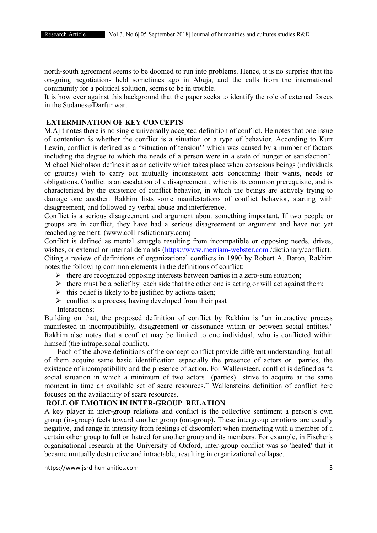north-south agreement seems to be doomed to run into problems. Hence, it is no surprise that the on-going negotiations held sometimes ago in Abuja, and the calls from the international community for a political solution, seems to be in trouble.

It is how ever against this background that the paper seeks to identify the role of external forces in the Sudanese/Darfur war.

## EXTERMINATION OF KEY CONCEPTS

M.Ajit notes there is no single universally accepted definition of conflict. He notes that one issue of contention is whether the conflict is a situation or a type of behavior. According to Kurt Lewin, conflict is defined as a "situation of tension'' which was caused by a number of factors including the degree to which the needs of a person were in a state of hunger or satisfaction". Michael Nicholson defines it as an activity which takes place when conscious beings (individuals or groups) wish to carry out mutually inconsistent acts concerning their wants, needs or obligations. Conflict is an escalation of a disagreement , which is its common prerequisite, and is characterized by the existence of conflict behavior, in which the beings are actively trying to damage one another. Rakhim lists some manifestations of conflict behavior, starting with disagreement, and followed by verbal abuse and interference.

Conflict is a serious disagreement and argument about something important. If two people or groups are in conflict, they have had a serious disagreement or argument and have not yet reached agreement. (www.collinsdictionary.com)

Conflict is defined as mental struggle resulting from incompatible or opposing needs, drives, wishes, or external or internal demands (https://www.merriam-webster.com/dictionary/conflict). Citing a review of definitions of organizational conflicts in 1990 by Robert A. Baron, Rakhim notes the following common elements in the definitions of conflict:

 $\triangleright$  there are recognized opposing interests between parties in a zero-sum situation;

- $\triangleright$  there must be a belief by each side that the other one is acting or will act against them;
- $\triangleright$  this belief is likely to be justified by actions taken;
- $\triangleright$  conflict is a process, having developed from their past

Interactions;

Building on that, the proposed definition of conflict by Rakhim is "an interactive process manifested in incompatibility, disagreement or dissonance within or between social entities." Rakhim also notes that a conflict may be limited to one individual, who is conflicted within himself (the intrapersonal conflict).

Each of the above definitions of the concept conflict provide different understanding but all of them acquire same basic identification especially the presence of actors or parties, the existence of incompatibility and the presence of action. For Wallensteen, conflict is defined as "a social situation in which a minimum of two actors (parties) strive to acquire at the same moment in time an available set of scare resources." Wallensteins definition of conflict here focuses on the availability of scare resources.

## ROLE OF EMOTION IN INTER-GROUP RELATION

A key player in inter-group relations and conflict is the collective sentiment a person's own group (in-group) feels toward another group (out-group). These intergroup emotions are usually negative, and range in intensity from feelings of discomfort when interacting with a member of a certain other group to full on hatred for another group and its members. For example, in Fischer's organisational research at the University of Oxford, inter-group conflict was so 'heated' that it became mutually destructive and intractable, resulting in organizational collapse.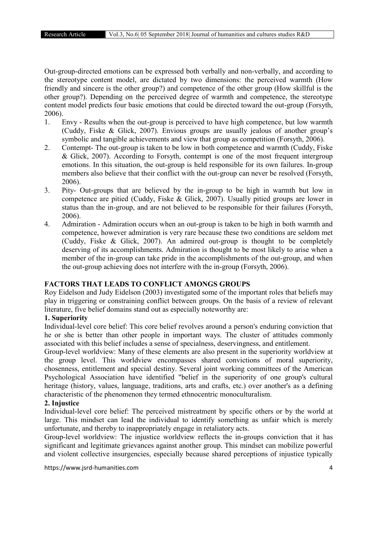Out-group-directed emotions can be expressed both verbally and non-verbally, and according to the stereotype content model, are dictated by two dimensions: the perceived warmth (How friendly and sincere is the other group?) and competence of the other group (How skillful is the other group?). Depending on the perceived degree of warmth and competence, the stereotype content model predicts four basic emotions that could be directed toward the out-group (Forsyth, 2006).

- 1. Envy Results when the out-group is perceived to have high competence, but low warmth (Cuddy, Fiske & Glick, 2007). Envious groups are usually jealous of another group's symbolic and tangible achievements and view that group as competition (Forsyth, 2006).
- 2. Contempt- The out-group is taken to be low in both competence and warmth (Cuddy, Fiske & Glick, 2007). According to Forsyth, contempt is one of the most frequent intergroup emotions. In this situation, the out-group is held responsible for its own failures. In-group members also believe that their conflict with the out-group can never be resolved (Forsyth, 2006).
- 3. Pity- Out-groups that are believed by the in-group to be high in warmth but low in competence are pitied (Cuddy, Fiske & Glick, 2007). Usually pitied groups are lower in status than the in-group, and are not believed to be responsible for their failures (Forsyth, 2006).
- 4. Admiration Admiration occurs when an out-group is taken to be high in both warmth and competence, however admiration is very rare because these two conditions are seldom met (Cuddy, Fiske & Glick, 2007). An admired out-group is thought to be completely deserving of its accomplishments. Admiration is thought to be most likely to arise when a member of the in-group can take pride in the accomplishments of the out-group, and when the out-group achieving does not interfere with the in-group (Forsyth, 2006).

# FACTORS THAT LEADS TO CONFLICT AMONGS GROUPS

Roy Eidelson and Judy Eidelson (2003) investigated some of the important roles that beliefs may play in triggering or constraining conflict between groups. On the basis of a review of relevant literature, five belief domains stand out as especially noteworthy are:

# 1. Superiority

Individual-level core belief: This core belief revolves around a person's enduring conviction that he or she is better than other people in important ways. The cluster of attitudes commonly associated with this belief includes a sense of specialness, deservingness, and entitlement.

Group-level worldview: Many of these elements are also present in the superiority worldview at the group level. This worldview encompasses shared convictions of moral superiority, chosenness, entitlement and special destiny. Several joint working committees of the American Psychological Association have identified "belief in the superiority of one group's cultural heritage (history, values, language, traditions, arts and crafts, etc.) over another's as a defining characteristic of the phenomenon they termed ethnocentric monoculturalism.

## 2. Injustice

Individual-level core belief: The perceived mistreatment by specific others or by the world at large. This mindset can lead the individual to identify something as unfair which is merely unfortunate, and thereby to inappropriately engage in retaliatory acts.

Group-level worldview: The injustice worldview reflects the in-groups conviction that it has significant and legitimate grievances against another group. This mindset can mobilize powerful and violent collective insurgencies, especially because shared perceptions of injustice typically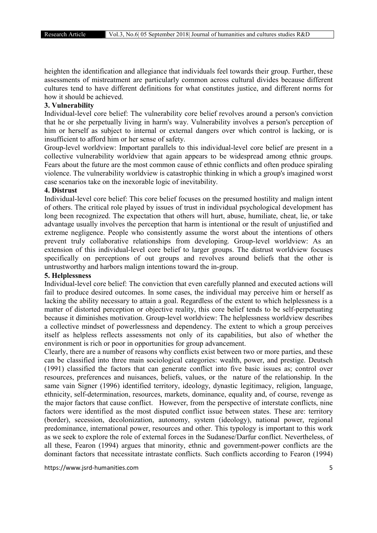heighten the identification and allegiance that individuals feel towards their group. Further, these assessments of mistreatment are particularly common across cultural divides because different cultures tend to have different definitions for what constitutes justice, and different norms for how it should be achieved.

#### 3. Vulnerability

Individual-level core belief: The vulnerability core belief revolves around a person's conviction that he or she perpetually living in harm's way. Vulnerability involves a person's perception of him or herself as subject to internal or external dangers over which control is lacking, or is insufficient to afford him or her sense of safety.

Group-level worldview: Important parallels to this individual-level core belief are present in a collective vulnerability worldview that again appears to be widespread among ethnic groups. Fears about the future are the most common cause of ethnic conflicts and often produce spiraling violence. The vulnerability worldview is catastrophic thinking in which a group's imagined worst case scenarios take on the inexorable logic of inevitability.

## 4. Distrust

Individual-level core belief: This core belief focuses on the presumed hostility and malign intent of others. The critical role played by issues of trust in individual psychological development has long been recognized. The expectation that others will hurt, abuse, humiliate, cheat, lie, or take advantage usually involves the perception that harm is intentional or the result of unjustified and extreme negligence. People who consistently assume the worst about the intentions of others prevent truly collaborative relationships from developing. Group-level worldview: As an extension of this individual-level core belief to larger groups. The distrust worldview focuses specifically on perceptions of out groups and revolves around beliefs that the other is untrustworthy and harbors malign intentions toward the in-group.

#### 5. Helplessness

Individual-level core belief: The conviction that even carefully planned and executed actions will fail to produce desired outcomes. In some cases, the individual may perceive him or herself as lacking the ability necessary to attain a goal. Regardless of the extent to which helplessness is a matter of distorted perception or objective reality, this core belief tends to be self-perpetuating because it diminishes motivation. Group-level worldview: The helplessness worldview describes a collective mindset of powerlessness and dependency. The extent to which a group perceives itself as helpless reflects assessments not only of its capabilities, but also of whether the environment is rich or poor in opportunities for group advancement.

Clearly, there are a number of reasons why conflicts exist between two or more parties, and these can be classified into three main sociological categories: wealth, power, and prestige. Deutsch (1991) classified the factors that can generate conflict into five basic issues as; control over resources, preferences and nuisances, beliefs, values, or the nature of the relationship. In the same vain Signer (1996) identified territory, ideology, dynastic legitimacy, religion, language, ethnicity, self-determination, resources, markets, dominance, equality and, of course, revenge as the major factors that cause conflict. However, from the perspective of interstate conflicts, nine factors were identified as the most disputed conflict issue between states. These are: territory (border), secession, decolonization, autonomy, system (ideology), national power, regional predominance, international power, resources and other. This typology is important to this work as we seek to explore the role of external forces in the Sudanese/Darfur conflict. Nevertheless, of all these, Fearon (1994) argues that minority, ethnic and government-power conflicts are the dominant factors that necessitate intrastate conflicts. Such conflicts according to Fearon (1994)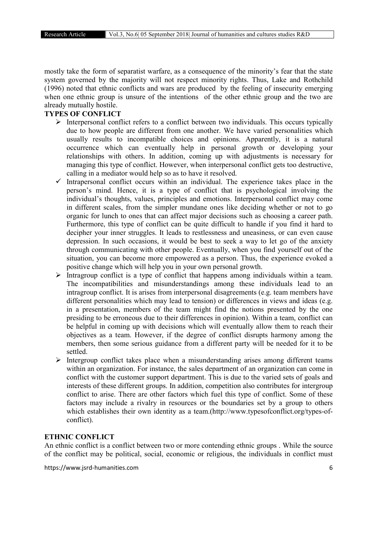mostly take the form of separatist warfare, as a consequence of the minority's fear that the state system governed by the majority will not respect minority rights. Thus, Lake and Rothchild (1996) noted that ethnic conflicts and wars are produced by the feeling of insecurity emerging when one ethnic group is unsure of the intentions of the other ethnic group and the two are already mutually hostile.

## TYPES OF CONFLICT

- $\triangleright$  Interpersonal conflict refers to a conflict between two individuals. This occurs typically due to how people are different from one another. We have varied personalities which usually results to incompatible choices and opinions. Apparently, it is a natural occurrence which can eventually help in personal growth or developing your relationships with others. In addition, coming up with adjustments is necessary for managing this type of conflict. However, when interpersonal conflict gets too destructive, calling in a mediator would help so as to have it resolved.
- $\checkmark$  Intrapersonal conflict occurs within an individual. The experience takes place in the person's mind. Hence, it is a type of conflict that is psychological involving the individual's thoughts, values, principles and emotions. Interpersonal conflict may come in different scales, from the simpler mundane ones like deciding whether or not to go organic for lunch to ones that can affect major decisions such as choosing a career path. Furthermore, this type of conflict can be quite difficult to handle if you find it hard to decipher your inner struggles. It leads to restlessness and uneasiness, or can even cause depression. In such occasions, it would be best to seek a way to let go of the anxiety through communicating with other people. Eventually, when you find yourself out of the situation, you can become more empowered as a person. Thus, the experience evoked a positive change which will help you in your own personal growth.
- Intragroup conflict is a type of conflict that happens among individuals within a team. The incompatibilities and misunderstandings among these individuals lead to an intragroup conflict. It is arises from interpersonal disagreements (e.g. team members have different personalities which may lead to tension) or differences in views and ideas (e.g. in a presentation, members of the team might find the notions presented by the one presiding to be erroneous due to their differences in opinion). Within a team, conflict can be helpful in coming up with decisions which will eventually allow them to reach their objectives as a team. However, if the degree of conflict disrupts harmony among the members, then some serious guidance from a different party will be needed for it to be settled.
- $\triangleright$  Intergroup conflict takes place when a misunderstanding arises among different teams within an organization. For instance, the sales department of an organization can come in conflict with the customer support department. This is due to the varied sets of goals and interests of these different groups. In addition, competition also contributes for intergroup conflict to arise. There are other factors which fuel this type of conflict. Some of these factors may include a rivalry in resources or the boundaries set by a group to others which establishes their own identity as a team.(http://www.typesofconflict.org/types-ofconflict).

## ETHNIC CONFLICT

An ethnic conflict is a conflict between two or more contending ethnic groups . While the source of the conflict may be political, social, economic or religious, the individuals in conflict must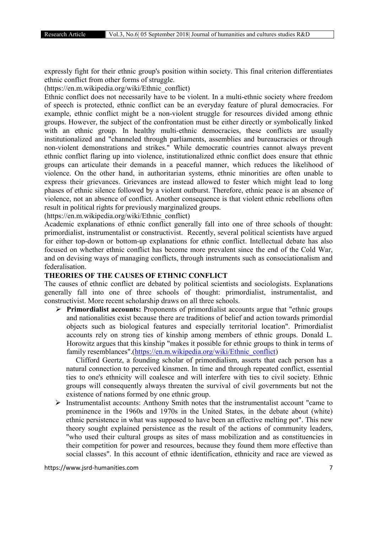expressly fight for their ethnic group's position within society. This final criterion differentiates ethnic conflict from other forms of struggle.

(https://en.m.wikipedia.org/wiki/Ethnic\_conflict)

Ethnic conflict does not necessarily have to be violent. In a multi-ethnic society where freedom of speech is protected, ethnic conflict can be an everyday feature of plural democracies. For example, ethnic conflict might be a non-violent struggle for resources divided among ethnic groups. However, the subject of the confrontation must be either directly or symbolically linked with an ethnic group. In healthy multi-ethnic democracies, these conflicts are usually institutionalized and "channeled through parliaments, assemblies and bureaucracies or through non-violent demonstrations and strikes." While democratic countries cannot always prevent ethnic conflict flaring up into violence, institutionalized ethnic conflict does ensure that ethnic groups can articulate their demands in a peaceful manner, which reduces the likelihood of violence. On the other hand, in authoritarian systems, ethnic minorities are often unable to express their grievances. Grievances are instead allowed to fester which might lead to long phases of ethnic silence followed by a violent outburst. Therefore, ethnic peace is an absence of violence, not an absence of conflict. Another consequence is that violent ethnic rebellions often result in political rights for previously marginalized groups.

(https://en.m.wikipedia.org/wiki/Ethnic\_conflict)

Academic explanations of ethnic conflict generally fall into one of three schools of thought: primordialist, instrumentalist or constructivist. Recently, several political scientists have argued for either top-down or bottom-up explanations for ethnic conflict. Intellectual debate has also focused on whether ethnic conflict has become more prevalent since the end of the Cold War, and on devising ways of managing conflicts, through instruments such as consociationalism and federalisation.

#### THEORIES OF THE CAUSES OF ETHNIC CONFLICT

The causes of ethnic conflict are debated by political scientists and sociologists. Explanations generally fall into one of three schools of thought: primordialist, instrumentalist, and constructivist. More recent scholarship draws on all three schools.

 $\triangleright$  **Primordialist accounts:** Proponents of primordialist accounts argue that "ethnic groups" and nationalities exist because there are traditions of belief and action towards primordial objects such as biological features and especially territorial location". Primordialist accounts rely on strong ties of kinship among members of ethnic groups. Donald L. Horowitz argues that this kinship "makes it possible for ethnic groups to think in terms of family resemblances".(https://en.m.wikipedia.org/wiki/Ethnic\_conflict)

 Clifford Geertz, a founding scholar of primordialism, asserts that each person has a natural connection to perceived kinsmen. In time and through repeated conflict, essential ties to one's ethnicity will coalesce and will interfere with ties to civil society. Ethnic groups will consequently always threaten the survival of civil governments but not the existence of nations formed by one ethnic group.

 $\triangleright$  Instrumentalist accounts: Anthony Smith notes that the instrumentalist account "came to prominence in the 1960s and 1970s in the United States, in the debate about (white) ethnic persistence in what was supposed to have been an effective melting pot". This new theory sought explained persistence as the result of the actions of community leaders, "who used their cultural groups as sites of mass mobilization and as constituencies in their competition for power and resources, because they found them more effective than social classes". In this account of ethnic identification, ethnicity and race are viewed as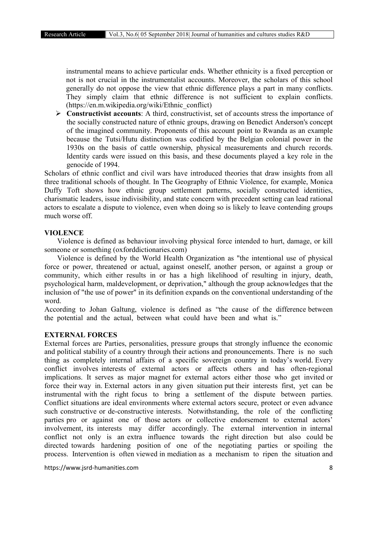instrumental means to achieve particular ends. Whether ethnicity is a fixed perception or not is not crucial in the instrumentalist accounts. Moreover, the scholars of this school generally do not oppose the view that ethnic difference plays a part in many conflicts. They simply claim that ethnic difference is not sufficient to explain conflicts. (https://en.m.wikipedia.org/wiki/Ethnic\_conflict)

 $\triangleright$  Constructivist accounts: A third, constructivist, set of accounts stress the importance of the socially constructed nature of ethnic groups, drawing on Benedict Anderson's concept of the imagined community. Proponents of this account point to Rwanda as an example because the Tutsi/Hutu distinction was codified by the Belgian colonial power in the 1930s on the basis of cattle ownership, physical measurements and church records. Identity cards were issued on this basis, and these documents played a key role in the genocide of 1994.

Scholars of ethnic conflict and civil wars have introduced theories that draw insights from all three traditional schools of thought. In The Geography of Ethnic Violence, for example, Monica Duffy Toft shows how ethnic group settlement patterns, socially constructed identities, charismatic leaders, issue indivisibility, and state concern with precedent setting can lead rational actors to escalate a dispute to violence, even when doing so is likely to leave contending groups much worse off.

#### VIOLENCE

Violence is defined as behaviour involving physical force intended to hurt, damage, or kill someone or something (oxforddictionaries.com)

Violence is defined by the World Health Organization as "the intentional use of physical force or power, threatened or actual, against oneself, another person, or against a group or community, which either results in or has a high likelihood of resulting in injury, death, psychological harm, maldevelopment, or deprivation," although the group acknowledges that the inclusion of "the use of power" in its definition expands on the conventional understanding of the word.

According to Johan Galtung, violence is defined as "the cause of the difference between the potential and the actual, between what could have been and what is."

#### EXTERNAL FORCES

External forces are Parties, personalities, pressure groups that strongly influence the economic and political stability of a country through their actions and pronouncements. There is no such thing as completely internal affairs of a specific sovereign country in today's world. Every conflict involves interests of external actors or affects others and has often-regional implications. It serves as major magnet for external actors either those who get invited or force their way in. External actors in any given situation put their interests first, yet can be instrumental with the right focus to bring a settlement of the dispute between parties. Conflict situations are ideal environments where external actors secure, protect or even advance such constructive or de-constructive interests. Notwithstanding, the role of the conflicting parties pro or against one of those actors or collective endorsement to external actors' involvement, its interests may differ accordingly. The external intervention in internal conflict not only is an extra influence towards the right direction but also could be directed towards hardening position of one of the negotiating parties or spoiling the process. Intervention is often viewed in mediation as a mechanism to ripen the situation and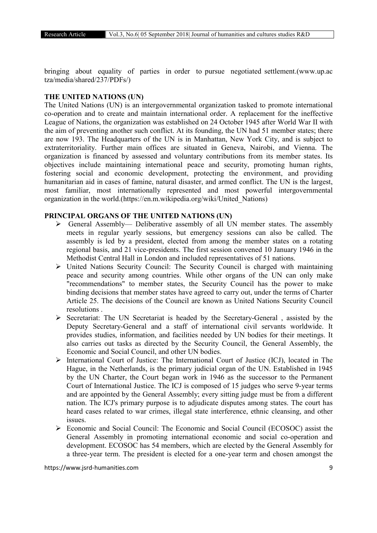bringing about equality of parties in order to pursue negotiated settlement.(www.up.ac tza/media/shared/237/PDFs/)

## THE UNITED NATIONS (UN)

The United Nations (UN) is an intergovernmental organization tasked to promote international co-operation and to create and maintain international order. A replacement for the ineffective League of Nations, the organization was established on 24 October 1945 after World War II with the aim of preventing another such conflict. At its founding, the UN had 51 member states; there are now 193. The Headquarters of the UN is in Manhattan, New York City, and is subject to extraterritoriality. Further main offices are situated in Geneva, Nairobi, and Vienna. The organization is financed by assessed and voluntary contributions from its member states. Its objectives include maintaining international peace and security, promoting human rights, fostering social and economic development, protecting the environment, and providing humanitarian aid in cases of famine, natural disaster, and armed conflict. The UN is the largest, most familiar, most internationally represented and most powerful intergovernmental organization in the world.(https://en.m.wikipedia.org/wiki/United\_Nations)

## PRINCIPAL ORGANS OF THE UNITED NATIONS (UN)

- $\triangleright$  General Assembly— Deliberative assembly of all UN member states. The assembly meets in regular yearly sessions, but emergency sessions can also be called. The assembly is led by a president, elected from among the member states on a rotating regional basis, and 21 vice-presidents. The first session convened 10 January 1946 in the Methodist Central Hall in London and included representatives of 51 nations.
- $\triangleright$  United Nations Security Council: The Security Council is charged with maintaining peace and security among countries. While other organs of the UN can only make "recommendations" to member states, the Security Council has the power to make binding decisions that member states have agreed to carry out, under the terms of Charter Article 25. The decisions of the Council are known as United Nations Security Council resolutions .
- $\triangleright$  Secretariat: The UN Secretariat is headed by the Secretary-General, assisted by the Deputy Secretary-General and a staff of international civil servants worldwide. It provides studies, information, and facilities needed by UN bodies for their meetings. It also carries out tasks as directed by the Security Council, the General Assembly, the Economic and Social Council, and other UN bodies.
- $\triangleright$  International Court of Justice: The International Court of Justice (ICJ), located in The Hague, in the Netherlands, is the primary judicial organ of the UN. Established in 1945 by the UN Charter, the Court began work in 1946 as the successor to the Permanent Court of International Justice. The ICJ is composed of 15 judges who serve 9-year terms and are appointed by the General Assembly; every sitting judge must be from a different nation. The ICJ's primary purpose is to adjudicate disputes among states. The court has heard cases related to war crimes, illegal state interference, ethnic cleansing, and other issues.
- Economic and Social Council: The Economic and Social Council (ECOSOC) assist the General Assembly in promoting international economic and social co-operation and development. ECOSOC has 54 members, which are elected by the General Assembly for a three-year term. The president is elected for a one-year term and chosen amongst the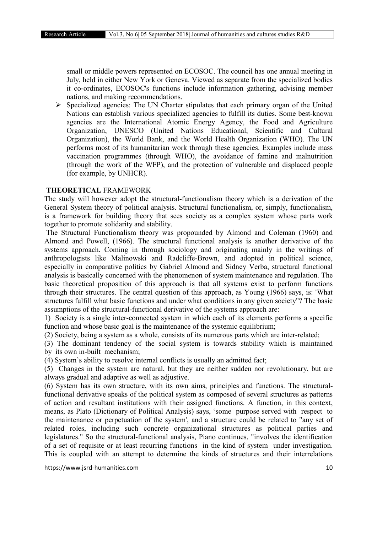small or middle powers represented on ECOSOC. The council has one annual meeting in July, held in either New York or Geneva. Viewed as separate from the specialized bodies it co-ordinates, ECOSOC's functions include information gathering, advising member nations, and making recommendations.

 $\triangleright$  Specialized agencies: The UN Charter stipulates that each primary organ of the United Nations can establish various specialized agencies to fulfill its duties. Some best-known agencies are the International Atomic Energy Agency, the Food and Agriculture Organization, UNESCO (United Nations Educational, Scientific and Cultural Organization), the World Bank, and the World Health Organization (WHO). The UN performs most of its humanitarian work through these agencies. Examples include mass vaccination programmes (through WHO), the avoidance of famine and malnutrition (through the work of the WFP), and the protection of vulnerable and displaced people (for example, by UNHCR).

#### THEORETICAL FRAMEWORK

The study will however adopt the structural-functionalism theory which is a derivation of the General System theory of political analysis. Structural functionalism, or, simply, functionalism, is a framework for building theory that sees society as a complex system whose parts work together to promote solidarity and stability.

The Structural Functionalism theory was propounded by Almond and Coleman (1960) and Almond and Powell, (1966). The structural functional analysis is another derivative of the systems approach. Coming in through sociology and originating mainly in the writings of anthropologists like Malinowski and Radcliffe-Brown, and adopted in political science, especially in comparative politics by Gabriel Almond and Sidney Verba, structural functional analysis is basically concerned with the phenomenon of system maintenance and regulation. The basic theoretical proposition of this approach is that all systems exist to perform functions through their structures. The central question of this approach, as Young (1966) says, is: 'What structures fulfill what basic functions and under what conditions in any given society"? The basic assumptions of the structural-functional derivative of the systems approach are:

1) Society is a single inter-connected system in which each of its elements performs a specific function and whose basic goal is the maintenance of the systemic equilibrium;

(2) Society, being a system as a whole, consists of its numerous parts which are inter-related;

(3) The dominant tendency of the social system is towards stability which is maintained by its own in-built mechanism;

(4) System's ability to resolve internal conflicts is usually an admitted fact;

(5) Changes in the system are natural, but they are neither sudden nor revolutionary, but are always gradual and adaptive as well as adjustive.

(6) System has its own structure, with its own aims, principles and functions. The structuralfunctional derivative speaks of the political system as composed of several structures as patterns of action and resultant institutions with their assigned functions. A function, in this context, means, as Plato (Dictionary of Political Analysis) says, 'some purpose served with respect to the maintenance or perpetuation of the system', and a structure could be related to "any set of related roles, including such concrete organizational structures as political parties and legislatures." So the structural-functional analysis, Piano continues, "involves the identification of a set of requisite or at least recurring functions in the kind of system under investigation. This is coupled with an attempt to determine the kinds of structures and their interrelations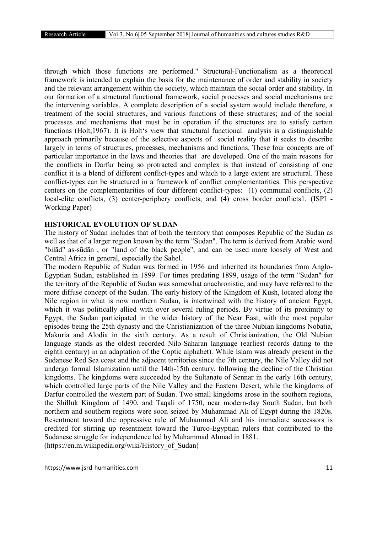through which those functions are performed." Structural-Functionalism as a theoretical framework is intended to explain the basis for the maintenance of order and stability in society and the relevant arrangement within the society, which maintain the social order and stability. In our formation of a structural functional framework, social processes and social mechanisms are the intervening variables. A complete description of a social system would include therefore, a treatment of the social structures, and various functions of these structures; and of the social processes and mechanisms that must be in operation if the structures are to satisfy certain functions (Holt,1967). It is Holt's view that structural functional analysis is a distinguishable approach primarily because of the selective aspects of social reality that it seeks to describe largely in terms of structures, processes, mechanisms and functions. These four concepts are of particular importance in the laws and theories that are developed. One of the main reasons for the conflicts in Darfur being so protracted and complex is that instead of consisting of one conflict it is a blend of different conflict-types and which to a large extent are structural. These conflict-types can be structured in a framework of conflict complementarities. This perspective centers on the complementarities of four different conflict-types: (1) communal conflicts, (2) local-elite conflicts, (3) center-periphery conflicts, and (4) cross border conflicts1. (ISPI -Working Paper)

## HISTORICAL EVOLUTION OF SUDAN

The history of Sudan includes that of both the territory that composes Republic of the Sudan as well as that of a larger region known by the term "Sudan". The term is derived from Arabic word "bilād" as-sūdān , or "land of the black people", and can be used more loosely of West and Central Africa in general, especially the Sahel.

The modern Republic of Sudan was formed in 1956 and inherited its boundaries from Anglo-Egyptian Sudan, established in 1899. For times predating 1899, usage of the term "Sudan" for the territory of the Republic of Sudan was somewhat anachronistic, and may have referred to the more diffuse concept of the Sudan. The early history of the Kingdom of Kush, located along the Nile region in what is now northern Sudan, is intertwined with the history of ancient Egypt, which it was politically allied with over several ruling periods. By virtue of its proximity to Egypt, the Sudan participated in the wider history of the Near East, with the most popular episodes being the 25th dynasty and the Christianization of the three Nubian kingdoms Nobatia, Makuria and Alodia in the sixth century. As a result of Christianization, the Old Nubian language stands as the oldest recorded Nilo-Saharan language (earliest records dating to the eighth century) in an adaptation of the Coptic alphabet). While Islam was already present in the Sudanese Red Sea coast and the adjacent territories since the 7th century, the Nile Valley did not undergo formal Islamization until the 14th-15th century, following the decline of the Christian kingdoms. The kingdoms were succeeded by the Sultanate of Sennar in the early 16th century, which controlled large parts of the Nile Valley and the Eastern Desert, while the kingdoms of Darfur controlled the western part of Sudan. Two small kingdoms arose in the southern regions, the Shilluk Kingdom of 1490, and Taqali of 1750, near modern-day South Sudan, but both northern and southern regions were soon seized by Muhammad Ali of Egypt during the 1820s. Resentment toward the oppressive rule of Muhammad Ali and his immediate successors is credited for stirring up resentment toward the Turco-Egyptian rulers that contributed to the Sudanese struggle for independence led by Muhammad Ahmad in 1881. (https://en.m.wikipedia.org/wiki/History\_of\_Sudan)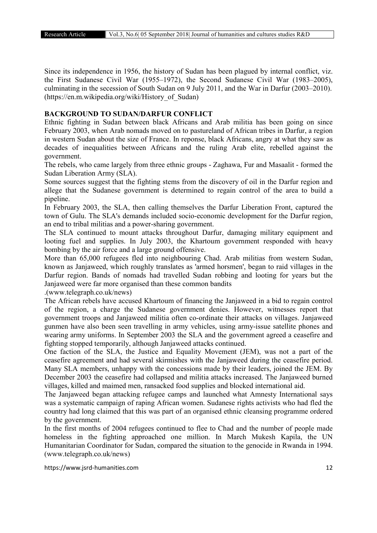Since its independence in 1956, the history of Sudan has been plagued by internal conflict, viz. the First Sudanese Civil War (1955–1972), the Second Sudanese Civil War (1983–2005), culminating in the secession of South Sudan on 9 July 2011, and the War in Darfur (2003–2010). (https://en.m.wikipedia.org/wiki/History\_of\_Sudan)

#### BACKGROUND TO SUDAN/DARFUR CONFLICT

Ethnic fighting in Sudan between black Africans and Arab militia has been going on since February 2003, when Arab nomads moved on to pastureland of African tribes in Darfur, a region in western Sudan about the size of France. In reponse, black Africans, angry at what they saw as decades of inequalities between Africans and the ruling Arab elite, rebelled against the government.

The rebels, who came largely from three ethnic groups - Zaghawa, Fur and Masaalit - formed the Sudan Liberation Army (SLA).

Some sources suggest that the fighting stems from the discovery of oil in the Darfur region and allege that the Sudanese government is determined to regain control of the area to build a pipeline.

In February 2003, the SLA, then calling themselves the Darfur Liberation Front, captured the town of Gulu. The SLA's demands included socio-economic development for the Darfur region, an end to tribal militias and a power-sharing government.

The SLA continued to mount attacks throughout Darfur, damaging military equipment and looting fuel and supplies. In July 2003, the Khartoum government responded with heavy bombing by the air force and a large ground offensive.

More than 65,000 refugees fled into neighbouring Chad. Arab militias from western Sudan, known as Janjaweed, which roughly translates as 'armed horsmen', began to raid villages in the Darfur region. Bands of nomads had travelled Sudan robbing and looting for years but the Janjaweed were far more organised than these common bandits

.(www.telegraph.co.uk/news)

The African rebels have accused Khartoum of financing the Janjaweed in a bid to regain control of the region, a charge the Sudanese government denies. However, witnesses report that government troops and Janjaweed militia often co-ordinate their attacks on villages. Janjaweed gunmen have also been seen travelling in army vehicles, using army-issue satellite phones and wearing army uniforms. In September 2003 the SLA and the government agreed a ceasefire and fighting stopped temporarily, although Janjaweed attacks continued.

One faction of the SLA, the Justice and Equality Movement (JEM), was not a part of the ceasefire agreement and had several skirmishes with the Janjaweed during the ceasefire period. Many SLA members, unhappy with the concessions made by their leaders, joined the JEM. By December 2003 the ceasefire had collapsed and militia attacks increased. The Janjaweed burned villages, killed and maimed men, ransacked food supplies and blocked international aid.

The Janjaweed began attacking refugee camps and launched what Amnesty International says was a systematic campaign of raping African women. Sudanese rights activists who had fled the country had long claimed that this was part of an organised ethnic cleansing programme ordered by the government.

In the first months of 2004 refugees continued to flee to Chad and the number of people made homeless in the fighting approached one million. In March Mukesh Kapila, the UN Humanitarian Coordinator for Sudan, compared the situation to the genocide in Rwanda in 1994. (www.telegraph.co.uk/news)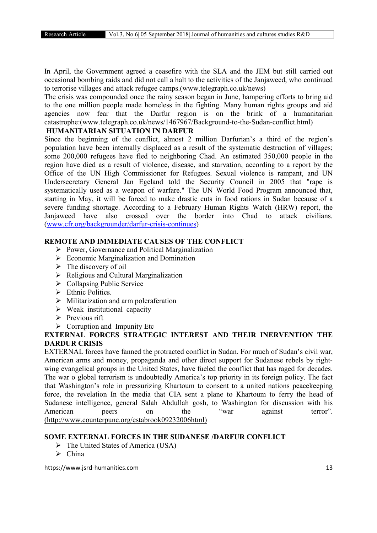In April, the Government agreed a ceasefire with the SLA and the JEM but still carried out occasional bombing raids and did not call a halt to the activities of the Janjaweed, who continued to terrorise villages and attack refugee camps.(www.telegraph.co.uk/news)

The crisis was compounded once the rainy season began in June, hampering efforts to bring aid to the one million people made homeless in the fighting. Many human rights groups and aid agencies now fear that the Darfur region is on the brink of a humanitarian catastrophe:(www.telegraph.co.uk/news/1467967/Background-to-the-Sudan-conflict.html)

## HUMANITARIAN SITUATION IN DARFUR

Since the beginning of the conflict, almost 2 million Darfurian's a third of the region's population have been internally displaced as a result of the systematic destruction of villages; some 200,000 refugees have fled to neighboring Chad. An estimated 350,000 people in the region have died as a result of violence, disease, and starvation, according to a report by the Office of the UN High Commissioner for Refugees. Sexual violence is rampant, and UN Undersecretary General Jan Egeland told the Security Council in 2005 that "rape is systematically used as a weapon of warfare." The UN World Food Program announced that, starting in May, it will be forced to make drastic cuts in food rations in Sudan because of a severe funding shortage. According to a February Human Rights Watch (HRW) report, the Janjaweed have also crossed over the border into Chad to attack civilians. (www.cfr.org/backgrounder/darfur-crisis-continues)

## REMOTE AND IMMEDIATE CAUSES OF THE CONFLICT

- $\triangleright$  Power, Governance and Political Marginalization
- $\triangleright$  Economic Marginalization and Domination
- $\triangleright$  The discovery of oil
- $\triangleright$  Religious and Cultural Marginalization
- $\triangleright$  Collapsing Public Service
- Ethnic Politics.
- $\triangleright$  Militarization and arm poleraferation
- $\triangleright$  Weak institutional capacity
- $\triangleright$  Previous rift
- $\triangleright$  Corruption and Impunity Etc

# EXTERNAL FORCES STRATEGIC INTEREST AND THEIR INERVENTION THE DARDUR CRISIS

EXTERNAL forces have fanned the protracted conflict in Sudan. For much of Sudan's civil war, American arms and money, propaganda and other direct support for Sudanese rebels by rightwing evangelical groups in the United States, have fueled the conflict that has raged for decades. The war o global terrorism is undoubtedly America's top priority in its foreign policy. The fact that Washington's role in pressurizing Khartoum to consent to a united nations peacekeeping force, the revelation In the media that CIA sent a plane to Khartoum to ferry the head of Sudanese intelligence, general Salah Abdullah gosh, to Washington for discussion with his American peers on the "war against terror". (http://www.counterpunc.org/estabrook09232006html)

## SOME EXTERNAL FORCES IN THE SUDANESE /DARFUR CONFLICT

- $\triangleright$  The United States of America (USA)
- $\triangleright$  China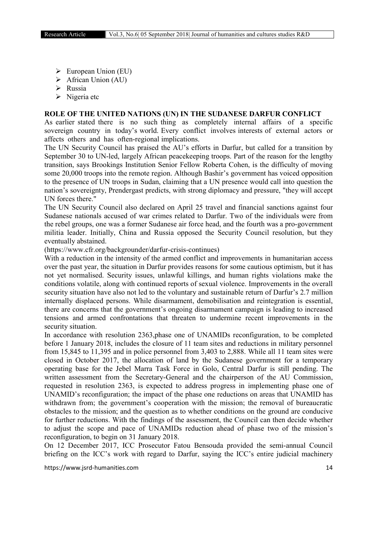- $\triangleright$  European Union (EU)
- $\triangleright$  African Union (AU)
- $\triangleright$  Russia
- $\triangleright$  Nigeria etc

#### ROLE OF THE UNITED NATIONS (UN) IN THE SUDANESE DARFUR CONFLICT

As earlier stated there is no such thing as completely internal affairs of a specific sovereign country in today's world. Every conflict involves interests of external actors or affects others and has often-regional implications.

The UN Security Council has praised the AU's efforts in Darfur, but called for a transition by September 30 to UN-led, largely African peacekeeping troops. Part of the reason for the lengthy transition, says Brookings Institution Senior Fellow Roberta Cohen, is the difficulty of moving some 20,000 troops into the remote region. Although Bashir's government has voiced opposition to the presence of UN troops in Sudan, claiming that a UN presence would call into question the nation's sovereignty, Prendergast predicts, with strong diplomacy and pressure, "they will accept UN forces there."

The UN Security Council also declared on April 25 travel and financial sanctions against four Sudanese nationals accused of war crimes related to Darfur. Two of the individuals were from the rebel groups, one was a former Sudanese air force head, and the fourth was a pro-government militia leader. Initially, China and Russia opposed the Security Council resolution, but they eventually abstained.

(https://www.cfr.org/backgrounder/darfur-crisis-continues)

With a reduction in the intensity of the armed conflict and improvements in humanitarian access over the past year, the situation in Darfur provides reasons for some cautious optimism, but it has not yet normalised. Security issues, unlawful killings, and human rights violations make the conditions volatile, along with continued reports of sexual violence. Improvements in the overall security situation have also not led to the voluntary and sustainable return of Darfur's 2.7 million internally displaced persons. While disarmament, demobilisation and reintegration is essential, there are concerns that the government's ongoing disarmament campaign is leading to increased tensions and armed confrontations that threaten to undermine recent improvements in the security situation.

In accordance with resolution 2363,phase one of UNAMIDs reconfiguration, to be completed before 1 January 2018, includes the closure of 11 team sites and reductions in military personnel from 15,845 to 11,395 and in police personnel from 3,403 to 2,888. While all 11 team sites were closed in October 2017, the allocation of land by the Sudanese government for a temporary operating base for the Jebel Marra Task Force in Golo, Central Darfur is still pending. The written assessment from the Secretary-General and the chairperson of the AU Commission, requested in resolution 2363, is expected to address progress in implementing phase one of UNAMID's reconfiguration; the impact of the phase one reductions on areas that UNAMID has withdrawn from; the government's cooperation with the mission; the removal of bureaucratic obstacles to the mission; and the question as to whether conditions on the ground are conducive for further reductions. With the findings of the assessment, the Council can then decide whether to adjust the scope and pace of UNAMIDs reduction ahead of phase two of the mission's reconfiguration, to begin on 31 January 2018.

On 12 December 2017, ICC Prosecutor Fatou Bensouda provided the semi-annual Council briefing on the ICC's work with regard to Darfur, saying the ICC's entire judicial machinery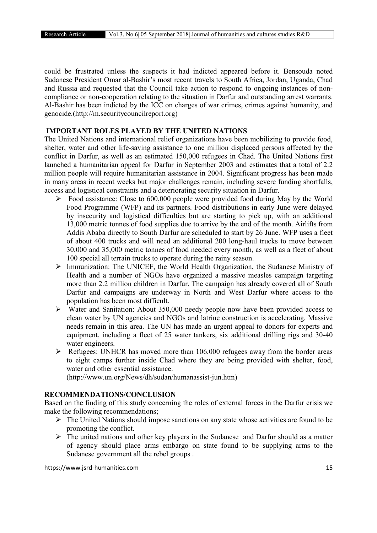could be frustrated unless the suspects it had indicted appeared before it. Bensouda noted Sudanese President Omar al-Bashir's most recent travels to South Africa, Jordan, Uganda, Chad and Russia and requested that the Council take action to respond to ongoing instances of noncompliance or non-cooperation relating to the situation in Darfur and outstanding arrest warrants. Al-Bashir has been indicted by the ICC on charges of war crimes, crimes against humanity, and genocide.(http://m.securitycouncilreport.org)

# IMPORTANT ROLES PLAYED BY THE UNITED NATIONS

The United Nations and international relief organizations have been mobilizing to provide food, shelter, water and other life-saving assistance to one million displaced persons affected by the conflict in Darfur, as well as an estimated 150,000 refugees in Chad. The United Nations first launched a humanitarian appeal for Darfur in September 2003 and estimates that a total of 2.2 million people will require humanitarian assistance in 2004. Significant progress has been made in many areas in recent weeks but major challenges remain, including severe funding shortfalls, access and logistical constraints and a deteriorating security situation in Darfur.

- $\triangleright$  Food assistance: Close to 600,000 people were provided food during May by the World Food Programme (WFP) and its partners. Food distributions in early June were delayed by insecurity and logistical difficulties but are starting to pick up, with an additional 13,000 metric tonnes of food supplies due to arrive by the end of the month. Airlifts from Addis Ababa directly to South Darfur are scheduled to start by 26 June. WFP uses a fleet of about 400 trucks and will need an additional 200 long-haul trucks to move between 30,000 and 35,000 metric tonnes of food needed every month, as well as a fleet of about 100 special all terrain trucks to operate during the rainy season.
- Immunization: The UNICEF, the World Health Organization, the Sudanese Ministry of Health and a number of NGOs have organized a massive measles campaign targeting more than 2.2 million children in Darfur. The campaign has already covered all of South Darfur and campaigns are underway in North and West Darfur where access to the population has been most difficult.
- $\triangleright$  Water and Sanitation: About 350,000 needy people now have been provided access to clean water by UN agencies and NGOs and latrine construction is accelerating. Massive needs remain in this area. The UN has made an urgent appeal to donors for experts and equipment, including a fleet of 25 water tankers, six additional drilling rigs and 30-40 water engineers.
- $\triangleright$  Refugees: UNHCR has moved more than 106,000 refugees away from the border areas to eight camps further inside Chad where they are being provided with shelter, food, water and other essential assistance.

(http://www.un.org/News/dh/sudan/humanassist-jun.htm)

## RECOMMENDATIONS/CONCLUSION

Based on the finding of this study concerning the roles of external forces in the Darfur crisis we make the following recommendations;

- $\triangleright$  The United Nations should impose sanctions on any state whose activities are found to be promoting the conflict.
- $\triangleright$  The united nations and other key players in the Sudanese and Darfur should as a matter of agency should place arms embargo on state found to be supplying arms to the Sudanese government all the rebel groups .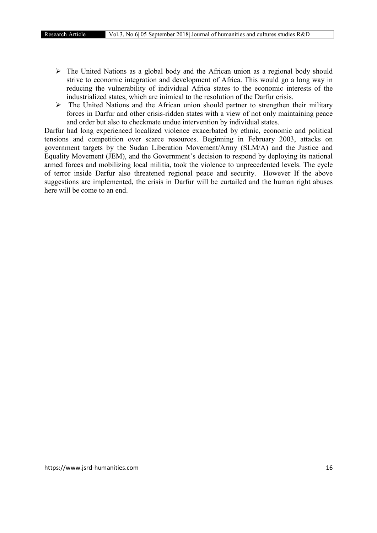- $\triangleright$  The United Nations as a global body and the African union as a regional body should strive to economic integration and development of Africa. This would go a long way in reducing the vulnerability of individual Africa states to the economic interests of the industrialized states, which are inimical to the resolution of the Darfur crisis.
- $\triangleright$  The United Nations and the African union should partner to strengthen their military forces in Darfur and other crisis-ridden states with a view of not only maintaining peace and order but also to checkmate undue intervention by individual states.

Darfur had long experienced localized violence exacerbated by ethnic, economic and political tensions and competition over scarce resources. Beginning in February 2003, attacks on government targets by the Sudan Liberation Movement/Army (SLM/A) and the Justice and Equality Movement (JEM), and the Government's decision to respond by deploying its national armed forces and mobilizing local militia, took the violence to unprecedented levels. The cycle of terror inside Darfur also threatened regional peace and security. However If the above suggestions are implemented, the crisis in Darfur will be curtailed and the human right abuses here will be come to an end.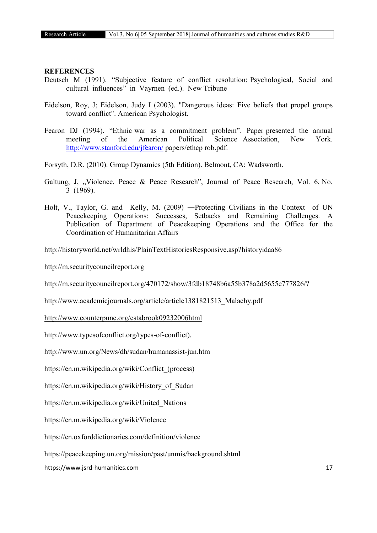#### **REFERENCES**

- Deutsch M (1991). "Subjective feature of conflict resolution: Psychological, Social and cultural influences" in Vayrnen (ed.). New Tribune
- Eidelson, Roy, J; Eidelson, Judy I (2003). "Dangerous ideas: Five beliefs that propel groups toward conflict". American Psychologist.
- Fearon DJ (1994). "Ethnic war as a commitment problem". Paper presented the annual meeting of the American Political Science Association, New York. http://www.stanford.edu/jfearon/ papers/ethcp rob.pdf.
- Forsyth, D.R. (2010). Group Dynamics (5th Edition). Belmont, CA: Wadsworth.
- Galtung, J, "Violence, Peace & Peace Research", Journal of Peace Research, Vol. 6, No. 3 (1969).
- Holt, V., Taylor, G. and Kelly, M. (2009) ―Protecting Civilians in the Context of UN Peacekeeping Operations: Successes, Setbacks and Remaining Challenges. A Publication of Department of Peacekeeping Operations and the Office for the Coordination of Humanitarian Affairs

http://historyworld.net/wrldhis/PlainTextHistoriesResponsive.asp?historyidaa86

http://m.securitycouncilreport.org

http://m.securitycouncilreport.org/470172/show/3fdb18748b6a55b378a2d5655e777826/?

http://www.academicjournals.org/article/article1381821513\_Malachy.pdf

http://www.counterpunc.org/estabrook09232006html

http://www.typesofconflict.org/types-of-conflict).

http://www.un.org/News/dh/sudan/humanassist-jun.htm

https://en.m.wikipedia.org/wiki/Conflict\_(process)

https://en.m.wikipedia.org/wiki/History\_of\_Sudan

https://en.m.wikipedia.org/wiki/United\_Nations

https://en.m.wikipedia.org/wiki/Violence

https://en.oxforddictionaries.com/definition/violence

https://peacekeeping.un.org/mission/past/unmis/background.shtml